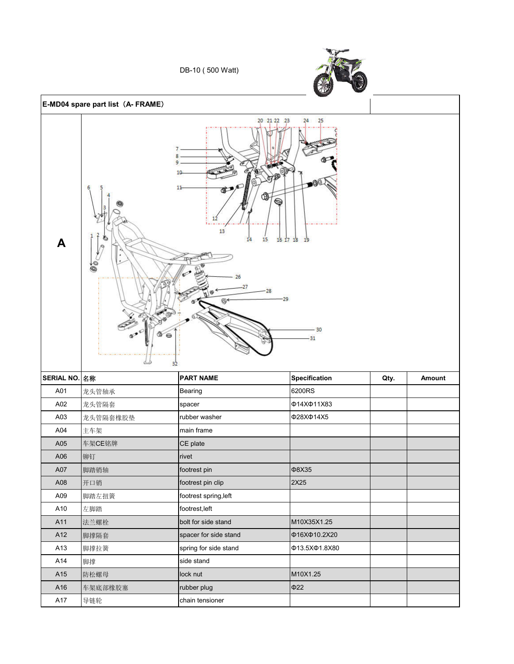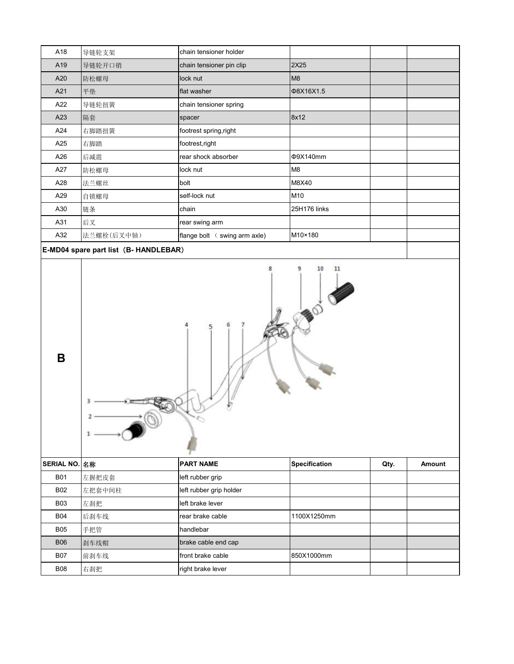| A18                                      | 导链轮支架      | chain tensioner holder                      |                |  |  |
|------------------------------------------|------------|---------------------------------------------|----------------|--|--|
| A19                                      | 导链轮开口销     | chain tensioner pin clip                    | 2X25           |  |  |
| A20                                      | 防松螺母       | lock nut                                    | M <sub>8</sub> |  |  |
| A21                                      | 平垫         | flat washer                                 | Φ8X16X1.5      |  |  |
| A22                                      | 导链轮扭簧      | chain tensioner spring                      |                |  |  |
| A23                                      | 隔套         | spacer                                      | 8x12           |  |  |
| A24                                      | 右脚踏扭簧      | footrest spring, right                      |                |  |  |
| A25                                      | 右脚踏        | footrest, right                             |                |  |  |
| A26                                      | 后减震        | rear shock absorber                         | Φ9X140mm       |  |  |
| A27                                      | 防松螺母       | lock nut                                    | M <sub>8</sub> |  |  |
| A28                                      | 法兰螺丝       | bolt                                        | M8X40          |  |  |
| A29                                      | 自锁螺母       | self-lock nut                               | M10            |  |  |
| A30                                      | 链条         | chain                                       | 25H176 links   |  |  |
| A31                                      | 后叉         | rear swing arm                              |                |  |  |
| A32                                      | 法兰螺栓(后叉中轴) | flange bolt $\left(\right.$ swing arm axle) | M10×180        |  |  |
| $E$ MD04 chara nart list (P. HANDI ERAD) |            |                                             |                |  |  |





| SERIAL NO. 名称 |        | <b>PART NAME</b>        | <b>Specification</b> | Qty. | Amount |
|---------------|--------|-------------------------|----------------------|------|--------|
| <b>B01</b>    | 左握把皮套  | left rubber grip        |                      |      |        |
| <b>B02</b>    | 左把套中间柱 | left rubber grip holder |                      |      |        |
| <b>B03</b>    | 左刹把    | left brake lever        |                      |      |        |
| <b>B04</b>    | 后刹车线   | rear brake cable        | 1100X1250mm          |      |        |
| <b>B05</b>    | 手把管    | handlebar               |                      |      |        |
| <b>B06</b>    | 刹车线帽   | brake cable end cap     |                      |      |        |
| <b>B07</b>    | 前刹车线   | front brake cable       | 850X1000mm           |      |        |
| <b>B08</b>    | 右刹把    | right brake lever       |                      |      |        |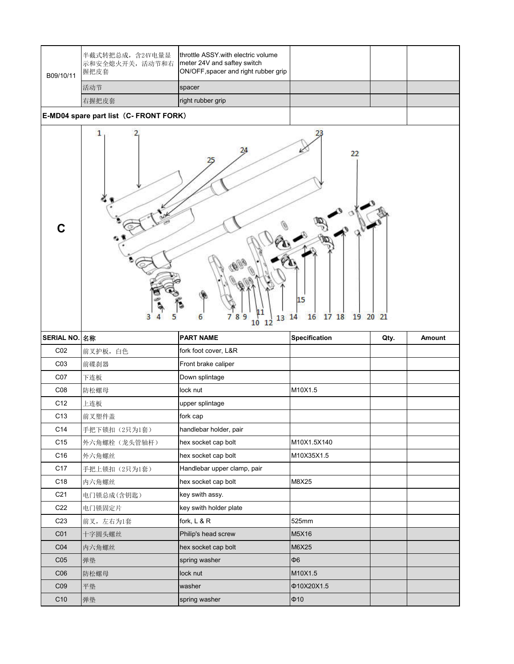| B09/10/11       | 半截式转把总成, 含24V电量显<br>示和安全熄火开关, 活动节和右<br>握把皮套 | throttle ASSY with electric volume<br>meter 24V and saftey switch<br>ON/OFF, spacer and right rubber grip |                                        |      |        |
|-----------------|---------------------------------------------|-----------------------------------------------------------------------------------------------------------|----------------------------------------|------|--------|
|                 | 活动节                                         | spacer                                                                                                    |                                        |      |        |
|                 | 右握把皮套                                       | right rubber grip                                                                                         |                                        |      |        |
|                 | E-MD04 spare part list (C- FRONT FORK)      |                                                                                                           |                                        |      |        |
| $\mathbf C$     | 1<br>3                                      | 8<br>9<br>6<br>13<br>10<br>12                                                                             | 22<br>15<br>17 18 19 20 21<br>16<br>14 |      |        |
| SERIAL NO. 名称   |                                             | <b>PART NAME</b>                                                                                          | <b>Specification</b>                   | Qty. | Amount |
|                 |                                             |                                                                                                           |                                        |      |        |
| CO <sub>2</sub> | 前叉护板, 白色                                    | fork foot cover, L&R                                                                                      |                                        |      |        |
| C <sub>03</sub> | 前碟刹器                                        | Front brake caliper                                                                                       |                                        |      |        |
| C07             | 下连板                                         | Down splintage                                                                                            |                                        |      |        |
| C <sub>08</sub> | 防松螺母                                        | lock nut                                                                                                  | M10X1.5                                |      |        |
| C12             | 上连板                                         | upper splintage                                                                                           |                                        |      |        |
| C <sub>13</sub> | 前叉塑件盖                                       | fork cap                                                                                                  |                                        |      |        |
| C14             | 手把下锁扣(2只为1套)                                | handlebar holder, pair                                                                                    |                                        |      |        |
| C <sub>15</sub> | 外六角螺栓(龙头管轴杆)                                | hex socket cap bolt                                                                                       | M10X1.5X140                            |      |        |
| C16             | 外六角螺丝                                       | hex socket cap bolt                                                                                       | M10X35X1.5                             |      |        |
| C <sub>17</sub> | 手把上锁扣(2只为1套)                                | Handlebar upper clamp, pair                                                                               |                                        |      |        |
| C18             | 内六角螺丝                                       | hex socket cap bolt                                                                                       | M8X25                                  |      |        |
| C <sub>21</sub> | 电门锁总成(含钥匙)                                  | key swith assy.                                                                                           |                                        |      |        |
| C <sub>22</sub> | 电门锁固定片                                      | key swith holder plate                                                                                    |                                        |      |        |
| C <sub>23</sub> | 前叉,左右为1套                                    | fork, L & R                                                                                               | 525mm                                  |      |        |
| C <sub>01</sub> | 十字圆头螺丝                                      | Philip's head screw                                                                                       | M5X16                                  |      |        |
| CO <sub>4</sub> | 内六角螺丝                                       | hex socket cap bolt                                                                                       | M6X25                                  |      |        |
| C <sub>05</sub> | 弹垫                                          | spring washer                                                                                             | $\Phi$ 6                               |      |        |
| C <sub>06</sub> | 防松螺母                                        | lock nut                                                                                                  | M10X1.5                                |      |        |
| C <sub>09</sub> | 平垫                                          | washer                                                                                                    | Φ10X20X1.5                             |      |        |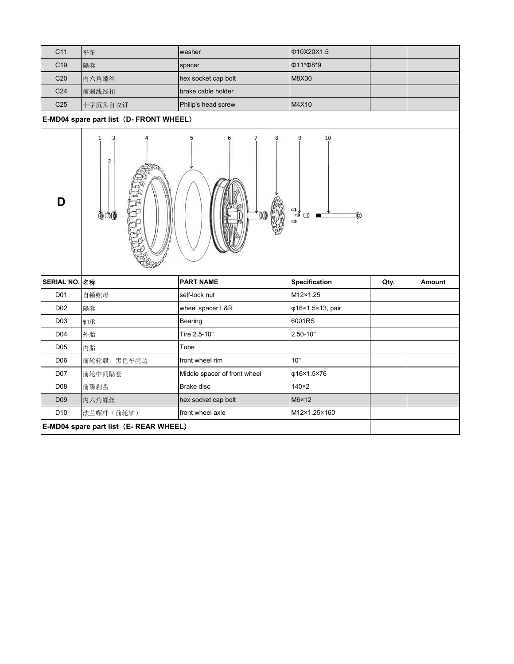| C11             | 平垫                                      | washer                       | Φ10X20X1.5           |      |        |
|-----------------|-----------------------------------------|------------------------------|----------------------|------|--------|
| C <sub>19</sub> | 隔套                                      | spacer                       | Ф11*Ф8*9             |      |        |
| C <sub>20</sub> | 内六角螺丝                                   | hex socket cap bolt          | M8X30                |      |        |
| C <sub>24</sub> | 前刹线线扣                                   | brake cable holder           |                      |      |        |
| C <sub>25</sub> | 十字沉头自攻钉                                 | Philip's head screw          | M4X10                |      |        |
|                 | E-MD04 spare part list (D- FRONT WHEEL) |                              |                      |      |        |
| D               | 1<br>з<br>2<br>Æ0<br>OO (               | 5<br>00                      | 10<br>٩<br>ื่งื่⊡ ■  |      |        |
| SERIAL NO. 名称   |                                         | <b>PART NAME</b>             | <b>Specification</b> | Qty. | Amount |
| D01             | 自锁螺母                                    | self-lock nut                | M12×1.25             |      |        |
| D <sub>02</sub> | 隔套                                      | wheel spacer L&R             | φ16×1.5×13, pair     |      |        |
| D03             | 轴承                                      | Bearing                      | 6001RS               |      |        |
| D04             | 外胎                                      | Tire 2.5-10"                 | 2.50-10"             |      |        |
| D <sub>05</sub> | 内胎                                      | Tube                         |                      |      |        |
| D <sub>06</sub> | 前轮轮毂,黑色车亮边                              | front wheel rim              | 10"                  |      |        |
| D07             | 前轮中间隔套                                  | Middle spacer of front wheel | φ16×1.5×76           |      |        |
| D <sub>08</sub> | 前碟刹盘                                    | Brake disc                   | $140\times2$         |      |        |
| D <sub>09</sub> | 内六角螺丝                                   | hex socket cap bolt          | M6×12                |      |        |
| D <sub>10</sub> | 法兰螺杆(前轮轴)                               | front wheel axle             | M12×1.25×160         |      |        |
|                 | E-MD04 spare part list (E- REAR WHEEL)  |                              |                      |      |        |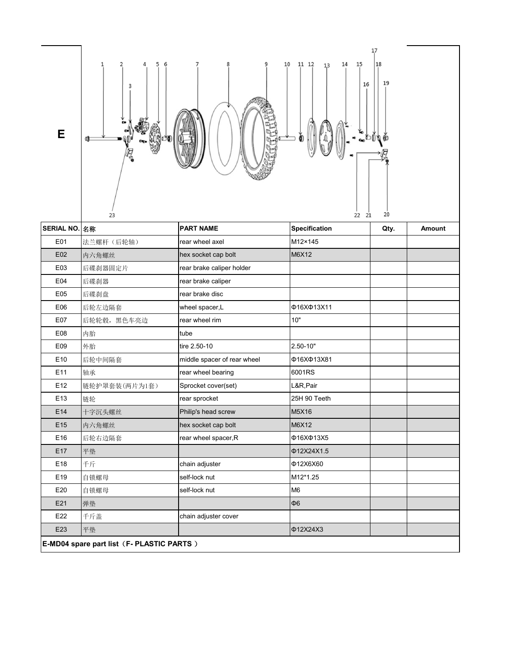

| SERIAL NO. 名称                            |               | <b>PART NAME</b>            | <b>Specification</b> | Qty. | Amount |
|------------------------------------------|---------------|-----------------------------|----------------------|------|--------|
| E01                                      | 法兰螺杆 (后轮轴)    | rear wheel axel             | M12×145              |      |        |
| E02                                      | 内六角螺丝         | hex socket cap bolt         | M6X12                |      |        |
| E03                                      | 后碟刹器固定片       | rear brake caliper holder   |                      |      |        |
| E04                                      | 后碟刹器          | rear brake caliper          |                      |      |        |
| E05                                      | 后碟刹盘          | rear brake disc             |                      |      |        |
| E06                                      | 后轮左边隔套        | wheel spacer,L              | Φ16ΧΦ13Χ11           |      |        |
| E07                                      | 后轮轮毂, 黑色车亮边   | rear wheel rim              | 10"                  |      |        |
| E08                                      | 内胎            | tube                        |                      |      |        |
| E09                                      | 外胎            | tire 2.50-10                | 2.50-10"             |      |        |
| E <sub>10</sub>                          | 后轮中间隔套        | middle spacer of rear wheel | Φ16XΦ13X81           |      |        |
| E11                                      | 轴承            | rear wheel bearing          | 6001RS               |      |        |
| E <sub>12</sub>                          | 链轮护罩套装(两片为1套) | Sprocket cover(set)         | L&R,Pair             |      |        |
| E13                                      | 链轮            | rear sprocket               | 25H 90 Teeth         |      |        |
| E14                                      | 十字沉头螺丝        | Philip's head screw         | M5X16                |      |        |
| E <sub>15</sub>                          | 内六角螺丝         | hex socket cap bolt         | M6X12                |      |        |
| E16                                      | 后轮右边隔套        | rear wheel spacer, R        | Φ16XΦ13X5            |      |        |
| E17                                      | 平垫            |                             | Φ12X24X1.5           |      |        |
| E18                                      | 千斤            | chain adjuster              | Φ12X6X60             |      |        |
| E19                                      | 自锁螺母          | self-lock nut               | M12*1.25             |      |        |
| E20                                      | 自锁螺母          | self-lock nut               | M <sub>6</sub>       |      |        |
| E21                                      | 弹垫            |                             | <b>Ф6</b>            |      |        |
| E22                                      | 千斤盖           | chain adjuster cover        |                      |      |        |
| E23                                      | 平垫            |                             | Φ12X24X3             |      |        |
| E-MD04 spare part list (F-PLASTIC PARTS) |               |                             |                      |      |        |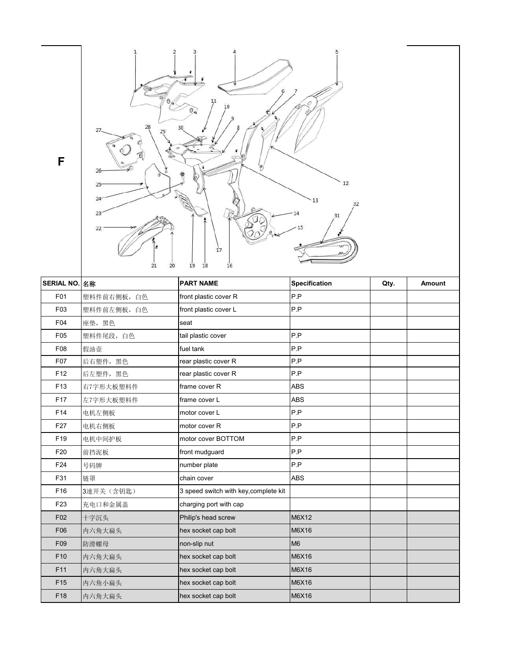

| SERIAL NO. 名称   |             | <b>PART NAME</b>                      | <b>Specification</b> | Qty. | <b>Amount</b> |
|-----------------|-------------|---------------------------------------|----------------------|------|---------------|
| F01             | 塑料件前右侧板, 白色 | front plastic cover R                 | P.P                  |      |               |
| F03             | 塑料件前左侧板, 白色 | front plastic cover L                 | P.P                  |      |               |
| F04             | 座垫,黑色       | seat                                  |                      |      |               |
| F <sub>05</sub> | 塑料件尾段, 白色   | tail plastic cover                    | P.P                  |      |               |
| F08             | 假油壶         | fuel tank                             | P.P                  |      |               |
| F07             | 后右塑件,黑色     | rear plastic cover R                  | P.P                  |      |               |
| F <sub>12</sub> | 后左塑件,黑色     | rear plastic cover R                  | P.P                  |      |               |
| F <sub>13</sub> | 右7字形大板塑料件   | frame cover R                         | <b>ABS</b>           |      |               |
| F <sub>17</sub> | 左7字形大板塑料件   | frame cover L                         | <b>ABS</b>           |      |               |
| F <sub>14</sub> | 电机左侧板       | motor cover L                         | P.P                  |      |               |
| F <sub>27</sub> | 电机右侧板       | motor cover R                         | P.P                  |      |               |
| F <sub>19</sub> | 电机中间护板      | motor cover BOTTOM                    | P.P                  |      |               |
| F20             | 前挡泥板        | front mudguard                        | P.P                  |      |               |
| F24             | 号码牌         | number plate                          | P.P                  |      |               |
| F31             | 链罩          | chain cover                           | <b>ABS</b>           |      |               |
| F <sub>16</sub> | 3速开关(含钥匙)   | 3 speed switch with key, complete kit |                      |      |               |
| F <sub>23</sub> | 充电口和金属盖     | charging port with cap                |                      |      |               |
| F <sub>02</sub> | 十字沉头        | Philip's head screw                   | M6X12                |      |               |
| F06             | 内六角大扁头      | hex socket cap bolt                   | M6X16                |      |               |
| F <sub>09</sub> | 防滑螺母        | non-slip nut                          | M <sub>6</sub>       |      |               |
| F <sub>10</sub> | 内六角大扁头      | hex socket cap bolt                   | M6X16                |      |               |
| F11             | 内六角大扁头      | hex socket cap bolt                   | M6X16                |      |               |
| F <sub>15</sub> | 内六角小扁头      | hex socket cap bolt                   | M6X16                |      |               |
| F <sub>18</sub> | 内六角大扁头      | hex socket cap bolt                   | M6X16                |      |               |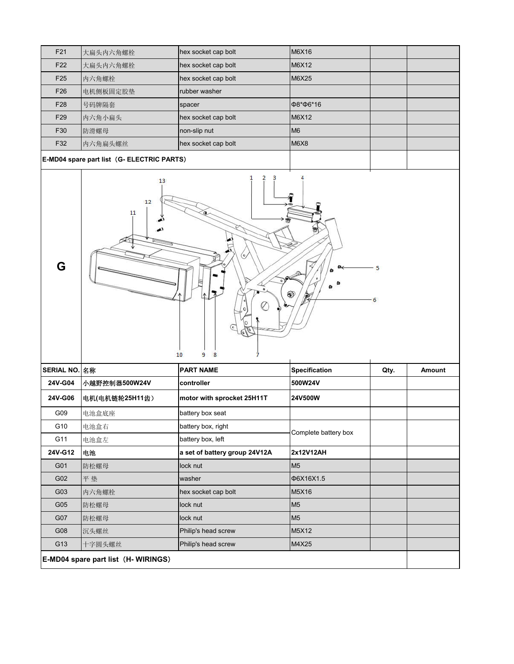| F <sub>21</sub>                                       | 大扁头内六角螺栓 | hex socket cap bolt | M6X16          |  |
|-------------------------------------------------------|----------|---------------------|----------------|--|
| F <sub>22</sub>                                       | 大扁头内六角螺栓 | hex socket cap bolt | M6X12          |  |
| F <sub>25</sub>                                       | 内六角螺栓    | hex socket cap bolt | <b>M6X25</b>   |  |
| F <sub>26</sub>                                       | 电机侧板固定胶垫 | rubber washer       |                |  |
| F28                                                   | 号码牌隔套    | spacer              | Ф8*Ф6*16       |  |
| F <sub>29</sub>                                       | 内六角小扁头   | hex socket cap bolt | M6X12          |  |
| F30                                                   | 防滑螺母     | non-slip nut        | M <sub>6</sub> |  |
| F32                                                   | 内六角扁头螺丝  | hex socket cap bolt | <b>M6X8</b>    |  |
| $\Gamma$ MDM cases neat list $\Gamma$ FLECTDIC DADTC) |          |                     |                |  |

## **E-MD04 spare part list**(**G- ELECTRIC PARTS**)



| SERIAL NO. 名称                       |                | <b>PART NAME</b>              | <b>Specification</b> | Qty. | Amount |
|-------------------------------------|----------------|-------------------------------|----------------------|------|--------|
| 24V-G04                             | 小越野控制器500W24V  | controller                    | 500W24V              |      |        |
| 24V-G06                             | 电机(电机链轮25H11齿) | motor with sprocket 25H11T    | 24V500W              |      |        |
| G09                                 | 电池盒底座          | battery box seat              |                      |      |        |
| G10                                 | 电池盒右           | battery box, right            | Complete battery box |      |        |
| G11                                 | 电池盒左           | battery box, left             |                      |      |        |
| 24V-G12                             | 电池             | a set of battery group 24V12A | 2x12V12AH            |      |        |
| G01                                 | 防松螺母           | lock nut                      | M <sub>5</sub>       |      |        |
| G02                                 | 平垫             | washer                        | Φ6X16X1.5            |      |        |
| G03                                 | 内六角螺栓          | hex socket cap bolt           | M5X16                |      |        |
| G05                                 | 防松螺母           | lock nut                      | M <sub>5</sub>       |      |        |
| G07                                 | 防松螺母           | lock nut                      | M <sub>5</sub>       |      |        |
| G08                                 | 沉头螺丝           | Philip's head screw           | M5X12                |      |        |
| G13                                 | 十字圆头螺丝         | Philip's head screw           | M4X25                |      |        |
| E-MD04 spare part list (H- WIRINGS) |                |                               |                      |      |        |